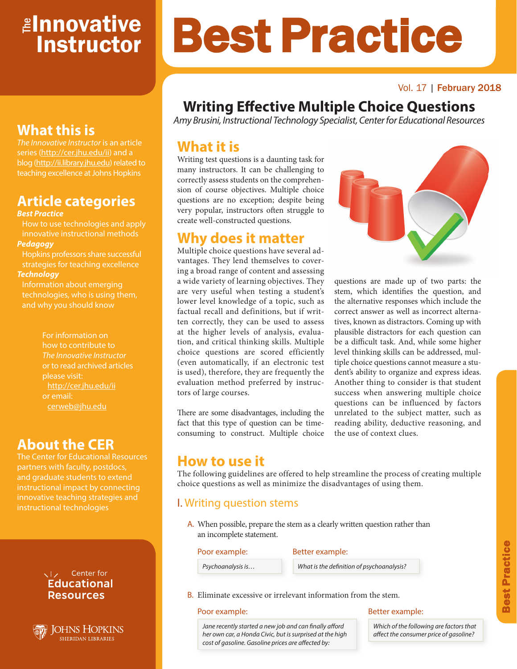# <mark>≇Innovative</mark> **Instructor**

### Vol. 17 | February 2018

# **Writing Effective Multiple Choice Questions**

Best Practice

*Amy Brusini, Instructional Technology Specialist, Center for Educational Resources*

# **What it is**

Writing test questions is a daunting task for many instructors. It can be challenging to correctly assess students on the comprehension of course objectives. Multiple choice questions are no exception; despite being very popular, instructors often struggle to create well-constructed questions.

# **Why does it matter**

Multiple choice questions have several advantages. They lend themselves to covering a broad range of content and assessing a wide variety of learning objectives. They are very useful when testing a student's lower level knowledge of a topic, such as factual recall and definitions, but if written correctly, they can be used to assess at the higher levels of analysis, evaluation, and critical thinking skills. Multiple choice questions are scored efficiently (even automatically, if an electronic test is used), therefore, they are frequently the evaluation method preferred by instructors of large courses.

There are some disadvantages, including the fact that this type of question can be timeconsuming to construct. Multiple choice



questions are made up of two parts: the stem, which identifies the question, and the alternative responses which include the correct answer as well as incorrect alternatives, known as distractors. Coming up with plausible distractors for each question can be a difficult task. And, while some higher level thinking skills can be addressed, multiple choice questions cannot measure a student's ability to organize and express ideas. Another thing to consider is that student success when answering multiple choice questions can be influenced by factors unrelated to the subject matter, such as reading ability, deductive reasoning, and the use of context clues.

## **How to use it**

The following guidelines are offered to help streamline the process of creating multiple choice questions as well as minimize the disadvantages of using them.

## I. Writing question stems

A. When possible, prepare the stem as a clearly written question rather than an incomplete statement.

### Poor example: Better example:

*Psychoanalysis is… What is the definition of psychoanalysis?* 

B. Eliminate excessive or irrelevant information from the stem.

### Poor example: Better example:

*Jane recently started a new job and can finally afford her own car, a Honda Civic, but is surprised at the high cost of gasoline. Gasoline prices are affected by:*

*Which of the following are factors that affect the consumer price of gasoline?*

# **What this is**

*The Innovative Instructor* is an article series (http://cer.jhu.edu/ii) and a blog (http://ii.library.jhu.edu) related to teaching excellence at Johns Hopkins

# **Article categories**

### *Best Practice*

How to use technologies and apply innovative instructional methods *Pedagogy*

Hopkins professors share successful strategies for teaching excellence *Technology*

Information about emerging technologies, who is using them, and why you should know

> For information on how to contribute to *The Innovative Instructor* or to read archived articles please visit: http://cer.jhu.edu/ii cerweb@jhu.edu

# **About the CER**

The Center for Educational Resources and graduate students to extend innovative teaching strategies and instructional technologies